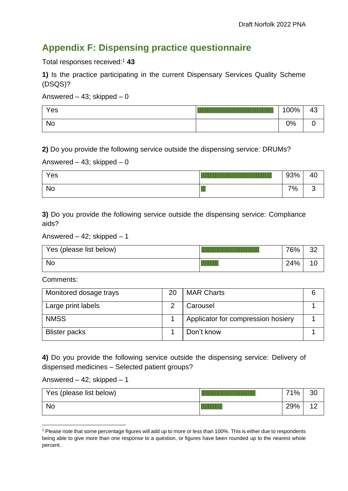# **Appendix F: Dispensing practice questionnaire**

Total responses received: <sup>1</sup> **43**

**1)** Is the practice participating in the current Dispensary Services Quality Scheme (DSQS)?

Answered – 43; skipped – 0

| Yes | 100% | 43 |
|-----|------|----|
| No  | 0%   | u  |

**2)** Do you provide the following service outside the dispensing service: DRUMs?

## Answered – 43; skipped – 0

| Yes | 93%    | 40 |
|-----|--------|----|
| No  | <br>7% | ັ  |

**3)** Do you provide the following service outside the dispensing service: Compliance aids?

#### Answered – 42; skipped – 1

| Yes (please list below) | 76% | ററ<br>ےت |
|-------------------------|-----|----------|
| <b>No</b>               | 24% |          |

Comments:

| Monitored dosage trays | 20 | <b>MAR Charts</b>                  | 6 |
|------------------------|----|------------------------------------|---|
| Large print labels     |    | Carousel                           |   |
| <b>NMSS</b>            |    | Applicator for compression hosiery |   |
| <b>Blister packs</b>   |    | Don't know                         |   |

**4)** Do you provide the following service outside the dispensing service: Delivery of dispensed medicines – Selected patient groups?

Answered –  $42$ ; skipped – 1

| Yes (please list below) | 71% | 30         |
|-------------------------|-----|------------|
| <b>No</b>               | 29% | $\sqrt{2}$ |

<sup>1</sup> Please note that some percentage figures will add up to more or less than 100%. This is either due to respondents being able to give more than one response to a question, or figures have been rounded up to the nearest whole percent.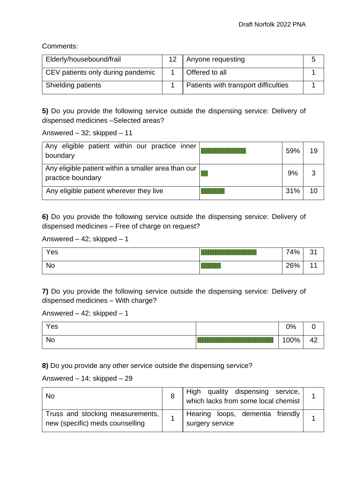Comments:

| Elderly/housebound/frail          | 12 <sup>2</sup> | Anyone requesting                    |  |
|-----------------------------------|-----------------|--------------------------------------|--|
| CEV patients only during pandemic |                 | <b>Offered to all</b>                |  |
| <b>Shielding patients</b>         |                 | Patients with transport difficulties |  |

**5)** Do you provide the following service outside the dispensing service: Delivery of dispensed medicines –Selected areas?

Answered – 32; skipped – 11

| Any eligible patient within our practice inner<br>boundary                 | 59% | 19 |
|----------------------------------------------------------------------------|-----|----|
| Any eligible patient within a smaller area than our  <br>practice boundary | 9%  | 3  |
| Any eligible patient wherever they live                                    | 31% | 10 |

**6)** Do you provide the following service outside the dispensing service: Delivery of dispensed medicines – Free of charge on request?

#### Answered – 42; skipped – 1

| Yes | 74% | $\Omega$<br>ັບເ |
|-----|-----|-----------------|
| No  | 26% |                 |

**7)** Do you provide the following service outside the dispensing service: Delivery of dispensed medicines – With charge?

Answered – 42; skipped – 1

| Yes       | 0%   | ∼                |
|-----------|------|------------------|
| <b>No</b> | 100% | $\sqrt{2}$<br>т∠ |

**8)** Do you provide any other service outside the dispensing service?

## Answered – 14; skipped – 29

| No                                                                    | High quality dispensing service,                    |  |
|-----------------------------------------------------------------------|-----------------------------------------------------|--|
| Truss and stocking measurements,  <br>new (specific) meds counselling | Hearing loops, dementia friendly<br>surgery service |  |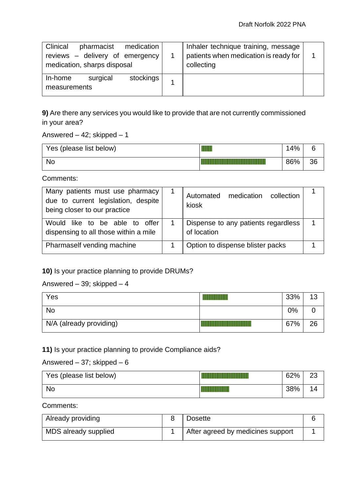| Clinical<br>pharmacist<br>medication<br>reviews - delivery of emergency<br>medication, sharps disposal | Inhaler technique training, message<br>patients when medication is ready for<br>collecting |  |
|--------------------------------------------------------------------------------------------------------|--------------------------------------------------------------------------------------------|--|
| surgical<br>stockings<br>In-home<br>measurements                                                       |                                                                                            |  |

**9)** Are there any services you would like to provide that are not currently commissioned in your area?

Answered –  $42$ ; skipped – 1

| Yes (please list below) | 14% |    |
|-------------------------|-----|----|
| <b>No</b>               | 86% | 36 |

Comments:

| Many patients must use pharmacy<br>due to current legislation, despite<br>being closer to our practice | Automated medication<br>collection<br>kiosk        |  |
|--------------------------------------------------------------------------------------------------------|----------------------------------------------------|--|
| Would like to be able to<br>offer<br>dispensing to all those within a mile                             | Dispense to any patients regardless<br>of location |  |
| Pharmaself vending machine                                                                             | Option to dispense blister packs                   |  |

**10)** Is your practice planning to provide DRUMs?

## Answered – 39; skipped –  $4$

| Yes                     | 33% | 10 |
|-------------------------|-----|----|
| <b>No</b>               | 0%  |    |
| N/A (already providing) | 67% | 26 |

# **11)** Is your practice planning to provide Compliance aids?

#### Answered – 37; skipped –  $6$

| Yes (please list below) | 62% | nn.<br>∠J |
|-------------------------|-----|-----------|
| <b>No</b>               | 38% | 4         |

Comments:

| Already providing    | <b>Dosette</b>                    |  |
|----------------------|-----------------------------------|--|
| MDS already supplied | After agreed by medicines support |  |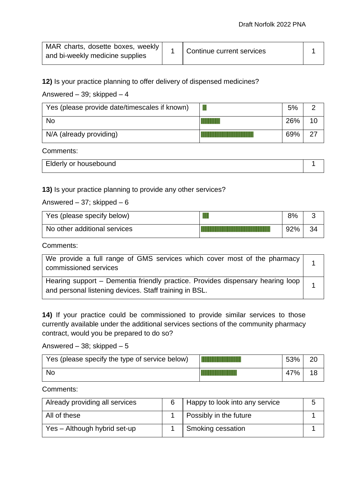| MAR charts, dosette boxes, weekly |                           |  |
|-----------------------------------|---------------------------|--|
| and bi-weekly medicine supplies   | Continue current services |  |

**12)** Is your practice planning to offer delivery of dispensed medicines?

Answered – 39; skipped –  $4$ 

| Yes (please provide date/timescales if known) | 5%  |  |
|-----------------------------------------------|-----|--|
| <b>No</b>                                     | 26% |  |
| N/A (already providing)                       | 69% |  |

Comments:

| Elderly or housebound |  |
|-----------------------|--|
|                       |  |

**13)** Is your practice planning to provide any other services?

Answered – 37; skipped –  $6$ 

| Yes (please specify below)   | 8%  |    |
|------------------------------|-----|----|
| No other additional services | 92% | 34 |

Comments:

| We provide a full range of GMS services which cover most of the pharmacy  <br>commissioned services                                        |  |
|--------------------------------------------------------------------------------------------------------------------------------------------|--|
| Hearing support - Dementia friendly practice. Provides dispensary hearing loop  <br>and personal listening devices. Staff training in BSL. |  |

**14)** If your practice could be commissioned to provide similar services to those currently available under the additional services sections of the community pharmacy contract, would you be prepared to do so?

Answered – 38; skipped – 5

| Yes (please specify the type of service below) | 53% |  |
|------------------------------------------------|-----|--|
| <b>No</b>                                      | 47% |  |

Comments:

| Already providing all services | Happy to look into any service |  |
|--------------------------------|--------------------------------|--|
| All of these                   | Possibly in the future         |  |
| Yes - Although hybrid set-up   | Smoking cessation              |  |